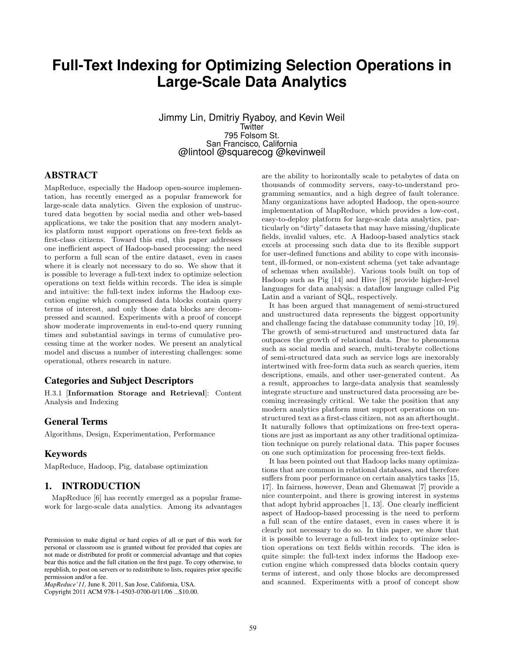# **Full-Text Indexing for Optimizing Selection Operations in Large-Scale Data Analytics**

Jimmy Lin, Dmitriy Ryaboy, and Kevin Weil Twitter 795 Folsom St. San Francisco, California @lintool @squarecog @kevinweil

## ABSTRACT

MapReduce, especially the Hadoop open-source implementation, has recently emerged as a popular framework for large-scale data analytics. Given the explosion of unstructured data begotten by social media and other web-based applications, we take the position that any modern analytics platform must support operations on free-text fields as first-class citizens. Toward this end, this paper addresses one inefficient aspect of Hadoop-based processing: the need to perform a full scan of the entire dataset, even in cases where it is clearly not necessary to do so. We show that it is possible to leverage a full-text index to optimize selection operations on text fields within records. The idea is simple and intuitive: the full-text index informs the Hadoop execution engine which compressed data blocks contain query terms of interest, and only those data blocks are decompressed and scanned. Experiments with a proof of concept show moderate improvements in end-to-end query running times and substantial savings in terms of cumulative processing time at the worker nodes. We present an analytical model and discuss a number of interesting challenges: some operational, others research in nature.

## Categories and Subject Descriptors

H.3.1 [Information Storage and Retrieval]: Content Analysis and Indexing

## General Terms

Algorithms, Design, Experimentation, Performance

## Keywords

MapReduce, Hadoop, Pig, database optimization

# 1. INTRODUCTION

MapReduce [6] has recently emerged as a popular framework for large-scale data analytics. Among its advantages

Copyright 2011 ACM 978-1-4503-0700-0/11/06 ...\$10.00.

are the ability to horizontally scale to petabytes of data on thousands of commodity servers, easy-to-understand programming semantics, and a high degree of fault tolerance. Many organizations have adopted Hadoop, the open-source implementation of MapReduce, which provides a low-cost, easy-to-deploy platform for large-scale data analytics, particularly on"dirty"datasets that may have missing/duplicate fields, invalid values, etc. A Hadoop-based analytics stack excels at processing such data due to its flexible support for user-defined functions and ability to cope with inconsistent, ill-formed, or non-existent schema (yet take advantage of schemas when available). Various tools built on top of Hadoop such as Pig [14] and Hive [18] provide higher-level languages for data analysis: a dataflow language called Pig Latin and a variant of SQL, respectively.

It has been argued that management of semi-structured and unstructured data represents the biggest opportunity and challenge facing the database community today [10, 19]. The growth of semi-structured and unstructured data far outpaces the growth of relational data. Due to phenomena such as social media and search, multi-terabyte collections of semi-structured data such as service logs are inexorably intertwined with free-form data such as search queries, item descriptions, emails, and other user-generated content. As a result, approaches to large-data analysis that seamlessly integrate structure and unstructured data processing are becoming increasingly critical. We take the position that any modern analytics platform must support operations on unstructured text as a first-class citizen, not as an afterthought. It naturally follows that optimizations on free-text operations are just as important as any other traditional optimization technique on purely relational data. This paper focuses on one such optimization for processing free-text fields.

It has been pointed out that Hadoop lacks many optimizations that are common in relational databases, and therefore suffers from poor performance on certain analytics tasks [15, 17]. In fairness, however, Dean and Ghemawat [7] provide a nice counterpoint, and there is growing interest in systems that adopt hybrid approaches [1, 13]. One clearly inefficient aspect of Hadoop-based processing is the need to perform a full scan of the entire dataset, even in cases where it is clearly not necessary to do so. In this paper, we show that it is possible to leverage a full-text index to optimize selection operations on text fields within records. The idea is quite simple: the full-text index informs the Hadoop execution engine which compressed data blocks contain query terms of interest, and only those blocks are decompressed and scanned. Experiments with a proof of concept show

Permission to make digital or hard copies of all or part of this work for personal or classroom use is granted without fee provided that copies are not made or distributed for profit or commercial advantage and that copies bear this notice and the full citation on the first page. To copy otherwise, to republish, to post on servers or to redistribute to lists, requires prior specific permission and/or a fee.

*MapReduce'11,* June 8, 2011, San Jose, California, USA.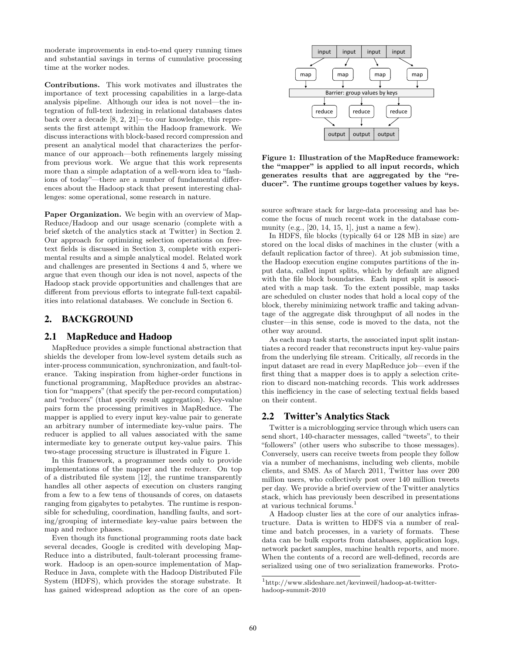moderate improvements in end-to-end query running times and substantial savings in terms of cumulative processing time at the worker nodes.

Contributions. This work motivates and illustrates the importance of text processing capabilities in a large-data analysis pipeline. Although our idea is not novel—the integration of full-text indexing in relational databases dates back over a decade [8, 2, 21]—to our knowledge, this represents the first attempt within the Hadoop framework. We discuss interactions with block-based record compression and present an analytical model that characterizes the performance of our approach—both refinements largely missing from previous work. We argue that this work represents more than a simple adaptation of a well-worn idea to "fashions of today"—there are a number of fundamental differences about the Hadoop stack that present interesting challenges: some operational, some research in nature.

Paper Organization. We begin with an overview of Map-Reduce/Hadoop and our usage scenario (complete with a brief sketch of the analytics stack at Twitter) in Section 2. Our approach for optimizing selection operations on freetext fields is discussed in Section 3, complete with experimental results and a simple analytical model. Related work and challenges are presented in Sections 4 and 5, where we argue that even though our idea is not novel, aspects of the Hadoop stack provide opportunities and challenges that are different from previous efforts to integrate full-text capabilities into relational databases. We conclude in Section 6.

## 2. BACKGROUND

## 2.1 MapReduce and Hadoop

MapReduce provides a simple functional abstraction that shields the developer from low-level system details such as inter-process communication, synchronization, and fault-tolerance. Taking inspiration from higher-order functions in functional programming, MapReduce provides an abstraction for "mappers" (that specify the per-record computation) and "reducers" (that specify result aggregation). Key-value pairs form the processing primitives in MapReduce. The mapper is applied to every input key-value pair to generate an arbitrary number of intermediate key-value pairs. The reducer is applied to all values associated with the same intermediate key to generate output key-value pairs. This two-stage processing structure is illustrated in Figure 1.

In this framework, a programmer needs only to provide implementations of the mapper and the reducer. On top of a distributed file system [12], the runtime transparently handles all other aspects of execution on clusters ranging from a few to a few tens of thousands of cores, on datasets ranging from gigabytes to petabytes. The runtime is responsible for scheduling, coordination, handling faults, and sorting/grouping of intermediate key-value pairs between the map and reduce phases.

Even though its functional programming roots date back several decades, Google is credited with developing Map-Reduce into a distributed, fault-tolerant processing framework. Hadoop is an open-source implementation of Map-Reduce in Java, complete with the Hadoop Distributed File System (HDFS), which provides the storage substrate. It has gained widespread adoption as the core of an open-



Figure 1: Illustration of the MapReduce framework: the "mapper" is applied to all input records, which generates results that are aggregated by the "reducer". The runtime groups together values by keys.

source software stack for large-data processing and has become the focus of much recent work in the database community (e.g., [20, 14, 15, 1], just a name a few).

In HDFS, file blocks (typically 64 or 128 MB in size) are stored on the local disks of machines in the cluster (with a default replication factor of three). At job submission time, the Hadoop execution engine computes partitions of the input data, called input splits, which by default are aligned with the file block boundaries. Each input split is associated with a map task. To the extent possible, map tasks are scheduled on cluster nodes that hold a local copy of the block, thereby minimizing network traffic and taking advantage of the aggregate disk throughput of all nodes in the cluster—in this sense, code is moved to the data, not the other way around.

As each map task starts, the associated input split instantiates a record reader that reconstructs input key-value pairs from the underlying file stream. Critically, all records in the input dataset are read in every MapReduce job—even if the first thing that a mapper does is to apply a selection criterion to discard non-matching records. This work addresses this inefficiency in the case of selecting textual fields based on their content.

## 2.2 Twitter's Analytics Stack

Twitter is a microblogging service through which users can send short, 140-character messages, called "tweets", to their "followers" (other users who subscribe to those messages). Conversely, users can receive tweets from people they follow via a number of mechanisms, including web clients, mobile clients, and SMS. As of March 2011, Twitter has over 200 million users, who collectively post over 140 million tweets per day. We provide a brief overview of the Twitter analytics stack, which has previously been described in presentations at various technical forums.<sup>1</sup>

A Hadoop cluster lies at the core of our analytics infrastructure. Data is written to HDFS via a number of realtime and batch processes, in a variety of formats. These data can be bulk exports from databases, application logs, network packet samples, machine health reports, and more. When the contents of a record are well-defined, records are serialized using one of two serialization frameworks. Proto-

<sup>1</sup> http://www.slideshare.net/kevinweil/hadoop-at-twitterhadoop-summit-2010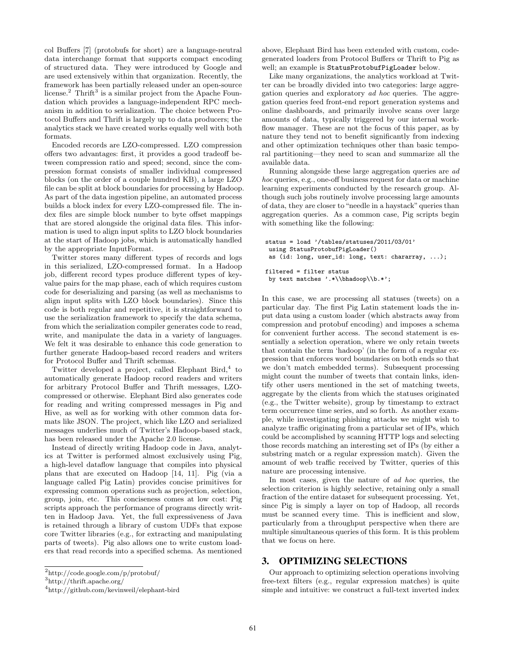col Buffers [7] (protobufs for short) are a language-neutral data interchange format that supports compact encoding of structured data. They were introduced by Google and are used extensively within that organization. Recently, the framework has been partially released under an open-source license.<sup>2</sup> Thrift<sup>3</sup> is a similar project from the Apache Foundation which provides a language-independent RPC mechanism in addition to serialization. The choice between Protocol Buffers and Thrift is largely up to data producers; the analytics stack we have created works equally well with both formats.

Encoded records are LZO-compressed. LZO compression offers two advantages: first, it provides a good tradeoff between compression ratio and speed; second, since the compression format consists of smaller individual compressed blocks (on the order of a couple hundred KB), a large LZO file can be split at block boundaries for processing by Hadoop. As part of the data ingestion pipeline, an automated process builds a block index for every LZO-compressed file. The index files are simple block number to byte offset mappings that are stored alongside the original data files. This information is used to align input splits to LZO block boundaries at the start of Hadoop jobs, which is automatically handled by the appropriate InputFormat.

Twitter stores many different types of records and logs in this serialized, LZO-compressed format. In a Hadoop job, different record types produce different types of keyvalue pairs for the map phase, each of which requires custom code for deserializing and parsing (as well as mechanisms to align input splits with LZO block boundaries). Since this code is both regular and repetitive, it is straightforward to use the serialization framework to specify the data schema, from which the serialization compiler generates code to read, write, and manipulate the data in a variety of languages. We felt it was desirable to enhance this code generation to further generate Hadoop-based record readers and writers for Protocol Buffer and Thrift schemas.

Twitter developed a project, called Elephant Bird,<sup>4</sup> to automatically generate Hadoop record readers and writers for arbitrary Protocol Buffer and Thrift messages, LZOcompressed or otherwise. Elephant Bird also generates code for reading and writing compressed messages in Pig and Hive, as well as for working with other common data formats like JSON. The project, which like LZO and serialized messages underlies much of Twitter's Hadoop-based stack, has been released under the Apache 2.0 license.

Instead of directly writing Hadoop code in Java, analytics at Twitter is performed almost exclusively using Pig, a high-level dataflow language that compiles into physical plans that are executed on Hadoop [14, 11]. Pig (via a language called Pig Latin) provides concise primitives for expressing common operations such as projection, selection, group, join, etc. This conciseness comes at low cost: Pig scripts approach the performance of programs directly written in Hadoop Java. Yet, the full expressiveness of Java is retained through a library of custom UDFs that expose core Twitter libraries (e.g., for extracting and manipulating parts of tweets). Pig also allows one to write custom loaders that read records into a specified schema. As mentioned

above, Elephant Bird has been extended with custom, codegenerated loaders from Protocol Buffers or Thrift to Pig as well; an example is StatusProtobufPigLoader below.

Like many organizations, the analytics workload at Twitter can be broadly divided into two categories: large aggregation queries and exploratory ad hoc queries. The aggregation queries feed front-end report generation systems and online dashboards, and primarily involve scans over large amounts of data, typically triggered by our internal workflow manager. These are not the focus of this paper, as by nature they tend not to benefit significantly from indexing and other optimization techniques other than basic temporal partitioning—they need to scan and summarize all the available data.

Running alongside these large aggregation queries are ad hoc queries, e.g., one-off business request for data or machine learning experiments conducted by the research group. Although such jobs routinely involve processing large amounts of data, they are closer to "needle in a haystack" queries than aggregation queries. As a common case, Pig scripts begin with something like the following:

```
status = load '/tables/statuses/2011/03/01'
using StatusProtobufPigLoader()
 as (id: long, user_id: long, text: chararray, ...);
filtered = filter status
 by text matches '.*\\bhadoop\\b.*';
```
In this case, we are processing all statuses (tweets) on a particular day. The first Pig Latin statement loads the input data using a custom loader (which abstracts away from compression and protobuf encoding) and imposes a schema for convenient further access. The second statement is essentially a selection operation, where we only retain tweets that contain the term 'hadoop' (in the form of a regular expression that enforces word boundaries on both ends so that we don't match embedded terms). Subsequent processing might count the number of tweets that contain links, identify other users mentioned in the set of matching tweets, aggregate by the clients from which the statuses originated (e.g., the Twitter website), group by timestamp to extract term occurrence time series, and so forth. As another example, while investigating phishing attacks we might wish to analyze traffic originating from a particular set of IPs, which could be accomplished by scanning HTTP logs and selecting those records matching an interesting set of IPs (by either a substring match or a regular expression match). Given the amount of web traffic received by Twitter, queries of this nature are processing intensive.

In most cases, given the nature of ad hoc queries, the selection criterion is highly selective, retaining only a small fraction of the entire dataset for subsequent processing. Yet, since Pig is simply a layer on top of Hadoop, all records must be scanned every time. This is inefficient and slow, particularly from a throughput perspective when there are multiple simultaneous queries of this form. It is this problem that we focus on here.

# 3. OPTIMIZING SELECTIONS

Our approach to optimizing selection operations involving free-text filters (e.g., regular expression matches) is quite simple and intuitive: we construct a full-text inverted index

<sup>2</sup> http://code.google.com/p/protobuf/

<sup>3</sup> http://thrift.apache.org/

<sup>4</sup> http://github.com/kevinweil/elephant-bird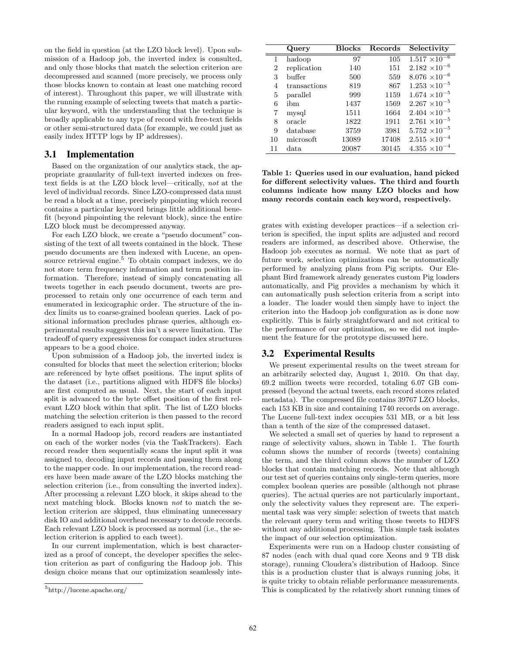on the field in question (at the LZO block level). Upon submission of a Hadoop job, the inverted index is consulted, and only those blocks that match the selection criterion are decompressed and scanned (more precisely, we process only those blocks known to contain at least one matching record of interest). Throughout this paper, we will illustrate with the running example of selecting tweets that match a particular keyword, with the understanding that the technique is broadly applicable to any type of record with free-text fields or other semi-structured data (for example, we could just as easily index HTTP logs by IP addresses).

## 3.1 Implementation

Based on the organization of our analytics stack, the appropriate granularity of full-text inverted indexes on freetext fields is at the LZO block level—critically, not at the level of individual records. Since LZO-compressed data must be read a block at a time, precisely pinpointing which record contains a particular keyword brings little additional benefit (beyond pinpointing the relevant block), since the entire LZO block must be decompressed anyway.

For each LZO block, we create a "pseudo document" consisting of the text of all tweets contained in the block. These pseudo documents are then indexed with Lucene, an opensource retrieval engine.<sup>5</sup> To obtain compact indexes, we do not store term frequency information and term position information. Therefore, instead of simply concatenating all tweets together in each pseudo document, tweets are preprocessed to retain only one occurrence of each term and enumerated in lexicographic order. The structure of the index limits us to coarse-grained boolean queries. Lack of positional information precludes phrase queries, although experimental results suggest this isn't a severe limitation. The tradeoff of query expressiveness for compact index structures appears to be a good choice.

Upon submission of a Hadoop job, the inverted index is consulted for blocks that meet the selection criterion; blocks are referenced by byte offset positions. The input splits of the dataset (i.e., partitions aligned with HDFS file blocks) are first computed as usual. Next, the start of each input split is advanced to the byte offset position of the first relevant LZO block within that split. The list of LZO blocks matching the selection criterion is then passed to the record readers assigned to each input split.

In a normal Hadoop job, record readers are instantiated on each of the worker nodes (via the TaskTrackers). Each record reader then sequentially scans the input split it was assigned to, decoding input records and passing them along to the mapper code. In our implementation, the record readers have been made aware of the LZO blocks matching the selection criterion (i.e., from consulting the inverted index). After processing a relevant LZO block, it skips ahead to the next matching block. Blocks known not to match the selection criterion are skipped, thus eliminating unnecessary disk IO and additional overhead necessary to decode records. Each relevant LZO block is processed as normal (i.e., the selection criterion is applied to each tweet).

In our current implementation, which is best characterized as a proof of concept, the developer specifies the selection criterion as part of configuring the Hadoop job. This design choice means that our optimization seamlessly inte-

|    | Query        | <b>Blocks</b> | Records | Selectivity            |
|----|--------------|---------------|---------|------------------------|
| 1  | hadoop       | 97            | 105     | $1.517 \times 10^{-6}$ |
| 2  | replication  | 140           | 151     | $2.182 \times 10^{-6}$ |
| 3  | buffer       | 500           | 559     | $8.076 \times 10^{-6}$ |
| 4  | transactions | 819           | 867     | $1.253 \times 10^{-5}$ |
| 5  | parallel     | 999           | 1159    | $1.674 \times 10^{-5}$ |
| 6  | ibm          | 1437          | 1569    | $2.267 \times 10^{-5}$ |
| 7  | mysql        | 1511          | 1664    | $2.404 \times 10^{-5}$ |
| 8  | oracle       | 1822          | 1911    | $2.761 \times 10^{-5}$ |
| 9  | database     | 3759          | 3981    | $5.752 \times 10^{-5}$ |
| 10 | microsoft    | 13089         | 17408   | $2.515 \times 10^{-4}$ |
| 11 | data.        | 20087         | 30145   | $4.355 \times 10^{-4}$ |

Table 1: Queries used in our evaluation, hand picked for different selectivity values. The third and fourth columns indicate how many LZO blocks and how many records contain each keyword, respectively.

grates with existing developer practices—if a selection criterion is specified, the input splits are adjusted and record readers are informed, as described above. Otherwise, the Hadoop job executes as normal. We note that as part of future work, selection optimizations can be automatically performed by analyzing plans from Pig scripts. Our Elephant Bird framework already generates custom Pig loaders automatically, and Pig provides a mechanism by which it can automatically push selection criteria from a script into a loader. The loader would then simply have to inject the criterion into the Hadoop job configuration as is done now explicitly. This is fairly straightforward and not critical to the performance of our optimization, so we did not implement the feature for the prototype discussed here.

#### 3.2 Experimental Results

We present experimental results on the tweet stream for an arbitrarily selected day, August 1, 2010. On that day, 69.2 million tweets were recorded, totaling 6.07 GB compressed (beyond the actual tweets, each record stores related metadata). The compressed file contains 39767 LZO blocks, each 153 KB in size and containing 1740 records on average. The Lucene full-text index occupies 531 MB, or a bit less than a tenth of the size of the compressed dataset.

We selected a small set of queries by hand to represent a range of selectivity values, shown in Table 1. The fourth column shows the number of records (tweets) containing the term, and the third column shows the number of LZO blocks that contain matching records. Note that although our test set of queries contains only single-term queries, more complex boolean queries are possible (although not phrase queries). The actual queries are not particularly important, only the selectivity values they represent are. The experimental task was very simple: selection of tweets that match the relevant query term and writing those tweets to HDFS without any additional processing. This simple task isolates the impact of our selection optimization.

Experiments were run on a Hadoop cluster consisting of 87 nodes (each with dual quad core Xeons and 9 TB disk storage), running Cloudera's distribution of Hadoop. Since this is a production cluster that is always running jobs, it is quite tricky to obtain reliable performance measurements. This is complicated by the relatively short running times of

<sup>5</sup> http://lucene.apache.org/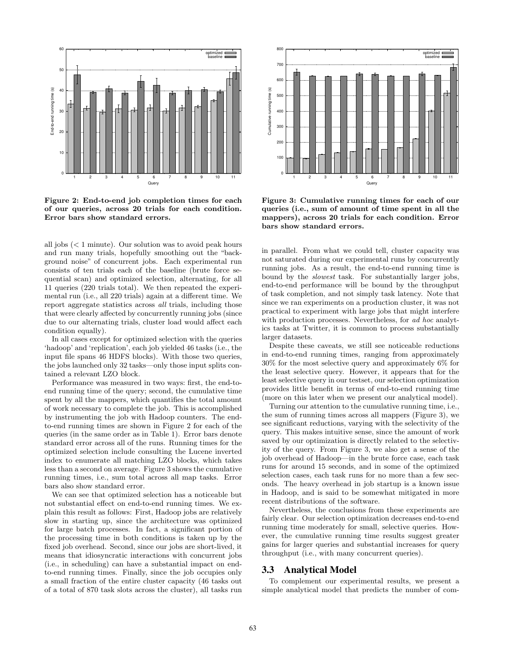

Figure 2: End-to-end job completion times for each of our queries, across 20 trials for each condition. Error bars show standard errors.

all jobs (< 1 minute). Our solution was to avoid peak hours and run many trials, hopefully smoothing out the "background noise" of concurrent jobs. Each experimental run consists of ten trials each of the baseline (brute force sequential scan) and optimized selection, alternating, for all 11 queries (220 trials total). We then repeated the experimental run (i.e., all 220 trials) again at a different time. We report aggregate statistics across all trials, including those that were clearly affected by concurrently running jobs (since due to our alternating trials, cluster load would affect each condition equally).

In all cases except for optimized selection with the queries 'hadoop' and 'replication', each job yielded 46 tasks (i.e., the input file spans 46 HDFS blocks). With those two queries, the jobs launched only 32 tasks—only those input splits contained a relevant LZO block.

Performance was measured in two ways: first, the end-toend running time of the query; second, the cumulative time spent by all the mappers, which quantifies the total amount of work necessary to complete the job. This is accomplished by instrumenting the job with Hadoop counters. The endto-end running times are shown in Figure 2 for each of the queries (in the same order as in Table 1). Error bars denote standard error across all of the runs. Running times for the optimized selection include consulting the Lucene inverted index to enumerate all matching LZO blocks, which takes less than a second on average. Figure 3 shows the cumulative running times, i.e., sum total across all map tasks. Error bars also show standard error.

We can see that optimized selection has a noticeable but not substantial effect on end-to-end running times. We explain this result as follows: First, Hadoop jobs are relatively slow in starting up, since the architecture was optimized for large batch processes. In fact, a significant portion of the processing time in both conditions is taken up by the fixed job overhead. Second, since our jobs are short-lived, it means that idiosyncratic interactions with concurrent jobs (i.e., in scheduling) can have a substantial impact on endto-end running times. Finally, since the job occupies only a small fraction of the entire cluster capacity (46 tasks out of a total of 870 task slots across the cluster), all tasks run



Figure 3: Cumulative running times for each of our queries (i.e., sum of amount of time spent in all the mappers), across 20 trials for each condition. Error bars show standard errors.

in parallel. From what we could tell, cluster capacity was not saturated during our experimental runs by concurrently running jobs. As a result, the end-to-end running time is bound by the slowest task. For substantially larger jobs, end-to-end performance will be bound by the throughput of task completion, and not simply task latency. Note that since we ran experiments on a production cluster, it was not practical to experiment with large jobs that might interfere with production processes. Nevertheless, for ad hoc analytics tasks at Twitter, it is common to process substantially larger datasets.

Despite these caveats, we still see noticeable reductions in end-to-end running times, ranging from approximately 30% for the most selective query and approximately 6% for the least selective query. However, it appears that for the least selective query in our testset, our selection optimization provides little benefit in terms of end-to-end running time (more on this later when we present our analytical model).

Turning our attention to the cumulative running time, i.e., the sum of running times across all mappers (Figure 3), we see significant reductions, varying with the selectivity of the query. This makes intuitive sense, since the amount of work saved by our optimization is directly related to the selectivity of the query. From Figure 3, we also get a sense of the job overhead of Hadoop—in the brute force case, each task runs for around 15 seconds, and in some of the optimized selection cases, each task runs for no more than a few seconds. The heavy overhead in job startup is a known issue in Hadoop, and is said to be somewhat mitigated in more recent distributions of the software.

Nevertheless, the conclusions from these experiments are fairly clear. Our selection optimization decreases end-to-end running time moderately for small, selective queries. However, the cumulative running time results suggest greater gains for larger queries and substantial increases for query throughput (i.e., with many concurrent queries).

## 3.3 Analytical Model

To complement our experimental results, we present a simple analytical model that predicts the number of com-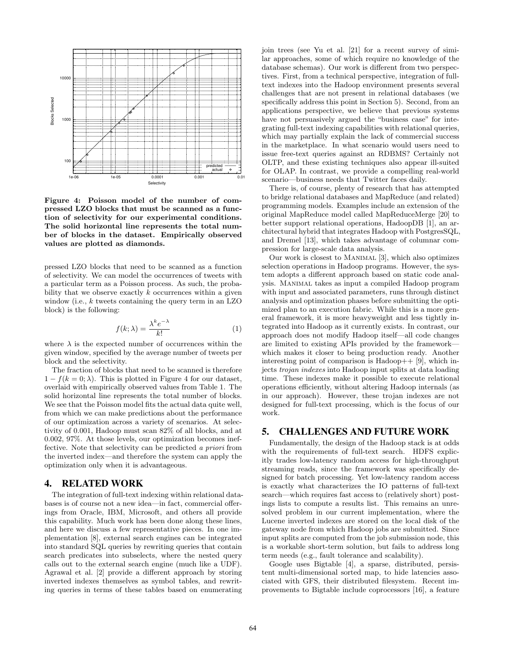

Figure 4: Poisson model of the number of compressed LZO blocks that must be scanned as a function of selectivity for our experimental conditions. The solid horizontal line represents the total number of blocks in the dataset. Empirically observed values are plotted as diamonds.

pressed LZO blocks that need to be scanned as a function of selectivity. We can model the occurrences of tweets with a particular term as a Poisson process. As such, the probability that we observe exactly  $k$  occurrences within a given window (i.e.,  $k$  tweets containing the query term in an LZO block) is the following:

$$
f(k; \lambda) = \frac{\lambda^k e^{-\lambda}}{k!}
$$
 (1)

where  $\lambda$  is the expected number of occurrences within the given window, specified by the average number of tweets per block and the selectivity.

The fraction of blocks that need to be scanned is therefore  $1 - f(k = 0; \lambda)$ . This is plotted in Figure 4 for our dataset, overlaid with empirically observed values from Table 1. The solid horizontal line represents the total number of blocks. We see that the Poisson model fits the actual data quite well, from which we can make predictions about the performance of our optimization across a variety of scenarios. At selectivity of 0.001, Hadoop must scan 82% of all blocks, and at 0.002, 97%. At those levels, our optimization becomes ineffective. Note that selectivity can be predicted a priori from the inverted index—and therefore the system can apply the optimization only when it is advantageous.

## 4. RELATED WORK

The integration of full-text indexing within relational databases is of course not a new idea—in fact, commercial offerings from Oracle, IBM, Microsoft, and others all provide this capability. Much work has been done along these lines, and here we discuss a few representative pieces. In one implementation [8], external search engines can be integrated into standard SQL queries by rewriting queries that contain search predicates into subselects, where the nested query calls out to the external search engine (much like a UDF). Agrawal et al. [2] provide a different approach by storing inverted indexes themselves as symbol tables, and rewriting queries in terms of these tables based on enumerating join trees (see Yu et al. [21] for a recent survey of similar approaches, some of which require no knowledge of the database schemas). Our work is different from two perspectives. First, from a technical perspective, integration of fulltext indexes into the Hadoop environment presents several challenges that are not present in relational databases (we specifically address this point in Section 5). Second, from an applications perspective, we believe that previous systems have not persuasively argued the "business case" for integrating full-text indexing capabilities with relational queries, which may partially explain the lack of commercial success in the marketplace. In what scenario would users need to issue free-text queries against an RDBMS? Certainly not OLTP, and these existing techniques also appear ill-suited for OLAP. In contrast, we provide a compelling real-world scenario—business needs that Twitter faces daily.

There is, of course, plenty of research that has attempted to bridge relational databases and MapReduce (and related) programming models. Examples include an extension of the original MapReduce model called MapReduceMerge [20] to better support relational operations, HadoopDB [1], an architectural hybrid that integrates Hadoop with PostgresSQL, and Dremel [13], which takes advantage of columnar compression for large-scale data analysis.

Our work is closest to Manimal [3], which also optimizes selection operations in Hadoop programs. However, the system adopts a different approach based on static code analysis. Manimal takes as input a compiled Hadoop program with input and associated parameters, runs through distinct analysis and optimization phases before submitting the optimized plan to an execution fabric. While this is a more general framework, it is more heavyweight and less tightly integrated into Hadoop as it currently exists. In contrast, our approach does not modify Hadoop itself—all code changes are limited to existing APIs provided by the framework which makes it closer to being production ready. Another interesting point of comparison is Hadoop $++$  [9], which injects trojan indexes into Hadoop input splits at data loading time. These indexes make it possible to execute relational operations efficiently, without altering Hadoop internals (as in our approach). However, these trojan indexes are not designed for full-text processing, which is the focus of our work.

## 5. CHALLENGES AND FUTURE WORK

Fundamentally, the design of the Hadoop stack is at odds with the requirements of full-text search. HDFS explicitly trades low-latency random access for high-throughput streaming reads, since the framework was specifically designed for batch processing. Yet low-latency random access is exactly what characterizes the IO patterns of full-text search—which requires fast access to (relatively short) postings lists to compute a results list. This remains an unresolved problem in our current implementation, where the Lucene inverted indexes are stored on the local disk of the gateway node from which Hadoop jobs are submitted. Since input splits are computed from the job submission node, this is a workable short-term solution, but fails to address long term needs (e.g., fault tolerance and scalability).

Google uses Bigtable [4], a sparse, distributed, persistent multi-dimensional sorted map, to hide latencies associated with GFS, their distributed filesystem. Recent improvements to Bigtable include coprocessors [16], a feature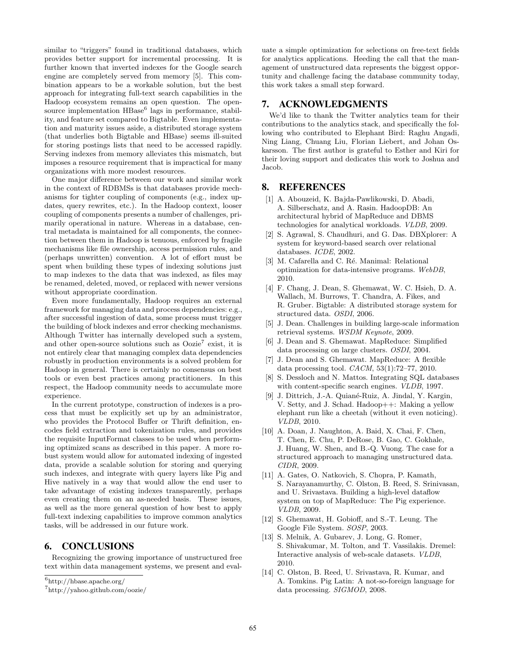similar to "triggers" found in traditional databases, which provides better support for incremental processing. It is further known that inverted indexes for the Google search engine are completely served from memory [5]. This combination appears to be a workable solution, but the best approach for integrating full-text search capabilities in the Hadoop ecosystem remains an open question. The opensource implementation  $HBase^6$  lags in performance, stability, and feature set compared to Bigtable. Even implementation and maturity issues aside, a distributed storage system (that underlies both Bigtable and HBase) seems ill-suited for storing postings lists that need to be accessed rapidly. Serving indexes from memory alleviates this mismatch, but imposes a resource requirement that is impractical for many organizations with more modest resources.

One major difference between our work and similar work in the context of RDBMSs is that databases provide mechanisms for tighter coupling of components (e.g., index updates, query rewrites, etc.). In the Hadoop context, looser coupling of components presents a number of challenges, primarily operational in nature. Whereas in a database, central metadata is maintained for all components, the connection between them in Hadoop is tenuous, enforced by fragile mechanisms like file ownership, access permission rules, and (perhaps unwritten) convention. A lot of effort must be spent when building these types of indexing solutions just to map indexes to the data that was indexed, as files may be renamed, deleted, moved, or replaced with newer versions without appropriate coordination.

Even more fundamentally, Hadoop requires an external framework for managing data and process dependencies: e.g., after successful ingestion of data, some process must trigger the building of block indexes and error checking mechanisms. Although Twitter has internally developed such a system, and other open-source solutions such as Oozie<sup>7</sup> exist, it is not entirely clear that managing complex data dependencies robustly in production environments is a solved problem for Hadoop in general. There is certainly no consensus on best tools or even best practices among practitioners. In this respect, the Hadoop community needs to accumulate more experience.

In the current prototype, construction of indexes is a process that must be explicitly set up by an administrator, who provides the Protocol Buffer or Thrift definition, encodes field extraction and tokenization rules, and provides the requisite InputFormat classes to be used when performing optimized scans as described in this paper. A more robust system would allow for automated indexing of ingested data, provide a scalable solution for storing and querying such indexes, and integrate with query layers like Pig and Hive natively in a way that would allow the end user to take advantage of existing indexes transparently, perhaps even creating them on an as-needed basis. These issues, as well as the more general question of how best to apply full-text indexing capabilities to improve common analytics tasks, will be addressed in our future work.

## 6. CONCLUSIONS

Recognizing the growing importance of unstructured free text within data management systems, we present and evaluate a simple optimization for selections on free-text fields for analytics applications. Heeding the call that the management of unstructured data represents the biggest opportunity and challenge facing the database community today, this work takes a small step forward.

# 7. ACKNOWLEDGMENTS

We'd like to thank the Twitter analytics team for their contributions to the analytics stack, and specifically the following who contributed to Elephant Bird: Raghu Angadi, Ning Liang, Chuang Liu, Florian Liebert, and Johan Oskarsson. The first author is grateful to Esther and Kiri for their loving support and dedicates this work to Joshua and Jacob.

# 8. REFERENCES

- [1] A. Abouzeid, K. Bajda-Pawlikowski, D. Abadi, A. Silberschatz, and A. Rasin. HadoopDB: An architectural hybrid of MapReduce and DBMS technologies for analytical workloads. VLDB, 2009.
- [2] S. Agrawal, S. Chaudhuri, and G. Das. DBXplorer: A system for keyword-based search over relational databases. ICDE, 2002.
- [3] M. Cafarella and C. Ré. Manimal: Relational optimization for data-intensive programs. WebDB, 2010.
- [4] F. Chang, J. Dean, S. Ghemawat, W. C. Hsieh, D. A. Wallach, M. Burrows, T. Chandra, A. Fikes, and R. Gruber. Bigtable: A distributed storage system for structured data. OSDI, 2006.
- [5] J. Dean. Challenges in building large-scale information retrieval systems. WSDM Keynote, 2009.
- [6] J. Dean and S. Ghemawat. MapReduce: Simplified data processing on large clusters. OSDI, 2004.
- [7] J. Dean and S. Ghemawat. MapReduce: A flexible data processing tool. CACM, 53(1):72–77, 2010.
- [8] S. Dessloch and N. Mattos. Integrating SQL databases with content-specific search engines. VLDB, 1997.
- [9] J. Dittrich, J.-A. Quiané-Ruiz, A. Jindal, Y. Kargin, V. Setty, and J. Schad. Hadoop++: Making a yellow elephant run like a cheetah (without it even noticing). VLDB, 2010.
- [10] A. Doan, J. Naughton, A. Baid, X. Chai, F. Chen, T. Chen, E. Chu, P. DeRose, B. Gao, C. Gokhale, J. Huang, W. Shen, and B.-Q. Vuong. The case for a structured approach to managing unstructured data. CIDR, 2009.
- [11] A. Gates, O. Natkovich, S. Chopra, P. Kamath, S. Narayanamurthy, C. Olston, B. Reed, S. Srinivasan, and U. Srivastava. Building a high-level dataflow system on top of MapReduce: The Pig experience. VLDB, 2009.
- [12] S. Ghemawat, H. Gobioff, and S.-T. Leung. The Google File System. SOSP, 2003.
- [13] S. Melnik, A. Gubarev, J. Long, G. Romer, S. Shivakumar, M. Tolton, and T. Vassilakis. Dremel: Interactive analysis of web-scale datasets. VLDB, 2010.
- [14] C. Olston, B. Reed, U. Srivastava, R. Kumar, and A. Tomkins. Pig Latin: A not-so-foreign language for data processing. SIGMOD, 2008.

<sup>6</sup> http://hbase.apache.org/

<sup>7</sup> http://yahoo.github.com/oozie/